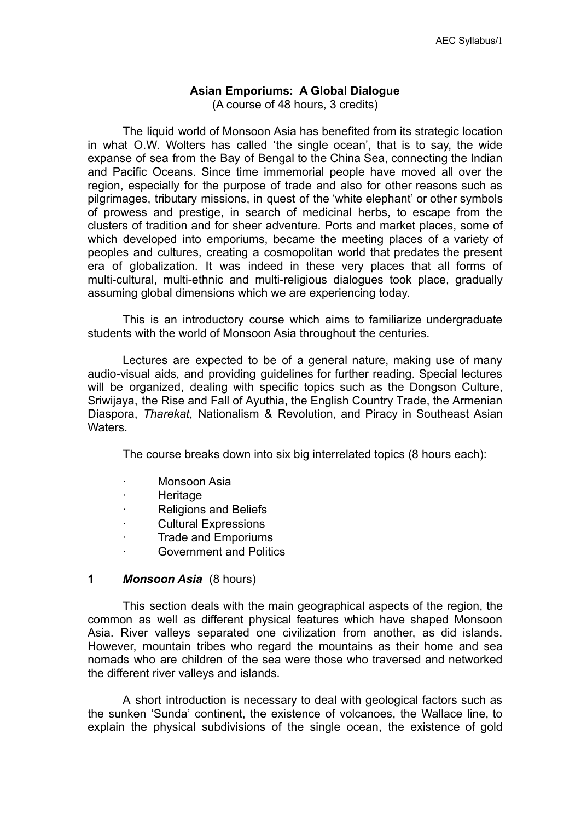# **Asian Emporiums: A Global Dialogue**

(A course of 48 hours, 3 credits)

The liquid world of Monsoon Asia has benefited from its strategic location in what O.W. Wolters has called 'the single ocean', that is to say, the wide expanse of sea from the Bay of Bengal to the China Sea, connecting the Indian and Pacific Oceans. Since time immemorial people have moved all over the region, especially for the purpose of trade and also for other reasons such as pilgrimages, tributary missions, in quest of the 'white elephant' or other symbols of prowess and prestige, in search of medicinal herbs, to escape from the clusters of tradition and for sheer adventure. Ports and market places, some of which developed into emporiums, became the meeting places of a variety of peoples and cultures, creating a cosmopolitan world that predates the present era of globalization. It was indeed in these very places that all forms of multi-cultural, multi-ethnic and multi-religious dialogues took place, gradually assuming global dimensions which we are experiencing today.

This is an introductory course which aims to familiarize undergraduate students with the world of Monsoon Asia throughout the centuries.

Lectures are expected to be of a general nature, making use of many audio-visual aids, and providing guidelines for further reading. Special lectures will be organized, dealing with specific topics such as the Dongson Culture, Sriwijaya, the Rise and Fall of Ayuthia, the English Country Trade, the Armenian Diaspora, *Tharekat*, Nationalism & Revolution, and Piracy in Southeast Asian **Waters** 

The course breaks down into six big interrelated topics (8 hours each):

- ∙ Monsoon Asia
- ∙ Heritage
- ∙ Religions and Beliefs
- ∙ Cultural Expressions
- ∙ Trade and Emporiums
- ∙ Government and Politics

#### **1** *Monsoon Asia* (8 hours)

This section deals with the main geographical aspects of the region, the common as well as different physical features which have shaped Monsoon Asia. River valleys separated one civilization from another, as did islands. However, mountain tribes who regard the mountains as their home and sea nomads who are children of the sea were those who traversed and networked the different river valleys and islands.

A short introduction is necessary to deal with geological factors such as the sunken 'Sunda' continent, the existence of volcanoes, the Wallace line, to explain the physical subdivisions of the single ocean, the existence of gold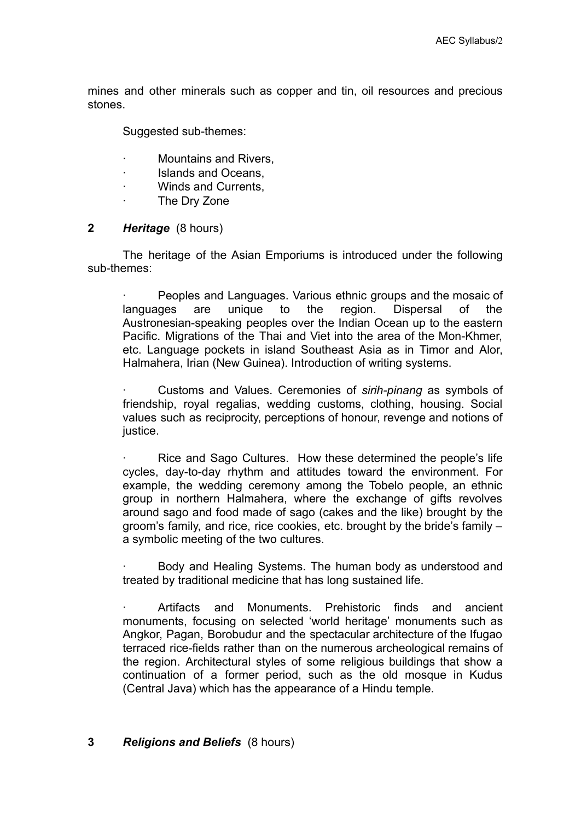mines and other minerals such as copper and tin, oil resources and precious stones.

Suggested sub-themes:

- ∙ Mountains and Rivers,
- ∙ Islands and Oceans,
- ∙ Winds and Currents,
- ∙ The Dry Zone

# **2** *Heritage* (8 hours)

The heritage of the Asian Emporiums is introduced under the following sub-themes:

∙ Peoples and Languages. Various ethnic groups and the mosaic of languages are unique to the region. Dispersal of the Austronesian-speaking peoples over the Indian Ocean up to the eastern Pacific. Migrations of the Thai and Viet into the area of the Mon-Khmer. etc. Language pockets in island Southeast Asia as in Timor and Alor, Halmahera, Irian (New Guinea). Introduction of writing systems.

∙ Customs and Values. Ceremonies of *sirih-pinang* as symbols of friendship, royal regalias, wedding customs, clothing, housing. Social values such as reciprocity, perceptions of honour, revenge and notions of justice.

∙ Rice and Sago Cultures. How these determined the people's life cycles, day-to-day rhythm and attitudes toward the environment. For example, the wedding ceremony among the Tobelo people, an ethnic group in northern Halmahera, where the exchange of gifts revolves around sago and food made of sago (cakes and the like) brought by the groom's family, and rice, rice cookies, etc. brought by the bride's family – a symbolic meeting of the two cultures.

∙ Body and Healing Systems. The human body as understood and treated by traditional medicine that has long sustained life.

∙ Artifacts and Monuments. Prehistoric finds and ancient monuments, focusing on selected 'world heritage' monuments such as Angkor, Pagan, Borobudur and the spectacular architecture of the Ifugao terraced rice-fields rather than on the numerous archeological remains of the region. Architectural styles of some religious buildings that show a continuation of a former period, such as the old mosque in Kudus (Central Java) which has the appearance of a Hindu temple.

# **3** *Religions and Beliefs* (8 hours)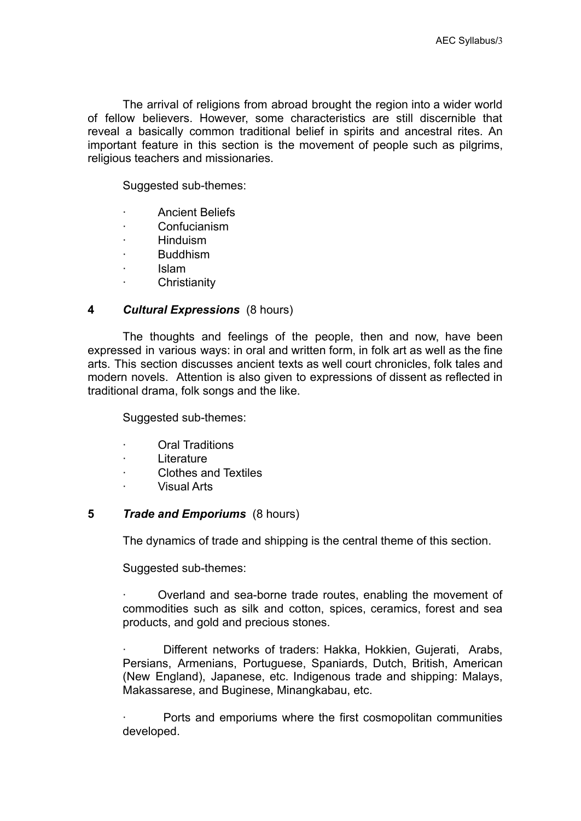The arrival of religions from abroad brought the region into a wider world of fellow believers. However, some characteristics are still discernible that reveal a basically common traditional belief in spirits and ancestral rites. An important feature in this section is the movement of people such as pilgrims, religious teachers and missionaries.

Suggested sub-themes:

- ∙ Ancient Beliefs
- ∙ Confucianism
- ∙ Hinduism
- ∙ Buddhism
- ∙ Islam
- ∙ Christianity

# **4** *Cultural Expressions* (8 hours)

The thoughts and feelings of the people, then and now, have been expressed in various ways: in oral and written form, in folk art as well as the fine arts. This section discusses ancient texts as well court chronicles, folk tales and modern novels. Attention is also given to expressions of dissent as reflected in traditional drama, folk songs and the like.

Suggested sub-themes:

- ∙ Oral Traditions
- ∙ Literature
- ∙ Clothes and Textiles
- ∙ Visual Arts

### **5** *Trade and Emporiums* (8 hours)

The dynamics of trade and shipping is the central theme of this section.

Suggested sub-themes:

∙ Overland and sea-borne trade routes, enabling the movement of commodities such as silk and cotton, spices, ceramics, forest and sea products, and gold and precious stones.

∙ Different networks of traders: Hakka, Hokkien, Gujerati, Arabs, Persians, Armenians, Portuguese, Spaniards, Dutch, British, American (New England), Japanese, etc. Indigenous trade and shipping: Malays, Makassarese, and Buginese, Minangkabau, etc.

∙ Ports and emporiums where the first cosmopolitan communities developed.